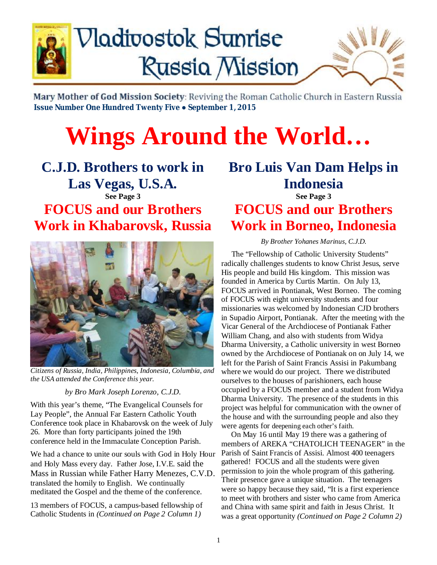

# **Nadivostok Sunrise Russia Mission**



Mary Mother of God Mission Society: Reviving the Roman Catholic Church in Eastern Russia  **Issue Number One Hundred Twenty Five ● September 1, 2015**

# **Wings Around the World…**

**C.J.D. Brothers to work in Las Vegas, U.S.A. See Page 3 FOCUS and our Brothers Work in Khabarovsk, Russia** 



*Citizens of Russia, India, Philippines, Indonesia, Columbia, and the USA attended the Conference this year.* 

#### *by Bro Mark Joseph Lorenzo, C.J.D.*

With this year's theme, "The Evangelical Counsels for Lay People", the Annual Far Eastern Catholic Youth Conference took place in Khabarovsk on the week of July 26. More than forty participants joined the 19th conference held in the Immaculate Conception Parish.

We had a chance to unite our souls with God in Holy Hour and Holy Mass every day. Father Jose, I.V.E. said the Mass in Russian while Father Harry Menezes, C.V.D. translated the homily to English. We continually meditated the Gospel and the theme of the conference.

13 members of FOCUS, a campus-based fellowship of Catholic Students in *(Continued on Page 2 Column 1)*

# **Bro Luis Van Dam Helps in Indonesia**

**See Page 3 FOCUS and our Brothers Work in Borneo, Indonesia** 

*By Brother Yohanes Marinus, C.J.D.* 

 The "Fellowship of Catholic University Students" radically challenges students to know Christ Jesus, serve His people and build His kingdom. This mission was founded in America by Curtis Martin. On July 13, FOCUS arrived in Pontianak, West Borneo. The coming of FOCUS with eight university students and four missionaries was welcomed by Indonesian CJD brothers in Supadio Airport, Pontianak. After the meeting with the Vicar General of the Archdiocese of Pontianak Father William Chang, and also with students from Widya Dharma University, a Catholic university in west Borneo owned by the Archdiocese of Pontianak on on July 14, we left for the Parish of Saint Francis Assisi in Pakumbang where we would do our project. There we distributed ourselves to the houses of parishioners, each house occupied by a FOCUS member and a student from Widya Dharma University. The presence of the students in this project was helpful for communication with the owner of the house and with the surrounding people and also they were agents for deepening each other's faith.

 On May 16 until May 19 there was a gathering of members of AREKA "CHATOLICH TEENAGER" in the Parish of Saint Francis of Assisi. Almost 400 teenagers gathered! FOCUS and all the students were given permission to join the whole program of this gathering. Their presence gave a unique situation. The teenagers were so happy because they said, "It is a first experience to meet with brothers and sister who came from America and China with same spirit and faith in Jesus Christ. It was a great opportunity *(Continued on Page 2 Column 2)*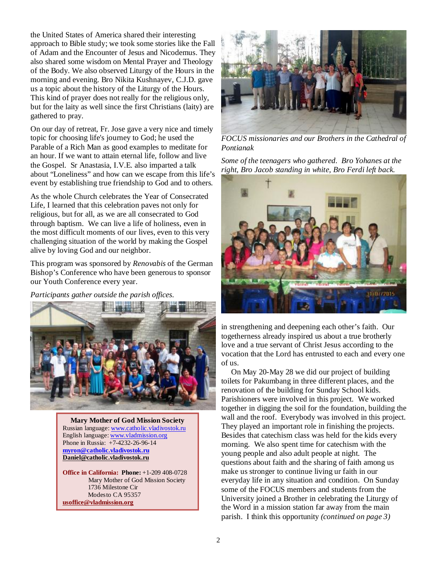the United States of America shared their interesting approach to Bible study; we took some stories like the Fall of Adam and the Encounter of Jesus and Nicodemus. They also shared some wisdom on Mental Prayer and Theology of the Body. We also observed Liturgy of the Hours in the morning and evening. Bro Nikita Kushnayev, C.J.D. gave us a topic about the history of the Liturgy of the Hours. This kind of prayer does not really for the religious only, but for the laity as well since the first Christians (laity) are gathered to pray.

On our day of retreat, Fr. Jose gave a very nice and timely topic for choosing life's journey to God; he used the Parable of a Rich Man as good examples to meditate for an hour. If we want to attain eternal life, follow and live the Gospel. Sr Anastasia, I.V.E. also imparted a talk about "Loneliness" and how can we escape from this life's event by establishing true friendship to God and to others.

As the whole Church celebrates the Year of Consecrated Life, I learned that this celebration paves not only for religious, but for all, as we are all consecrated to God through baptism. We can live a life of holiness, even in the most difficult moments of our lives, even to this very challenging situation of the world by making the Gospel alive by loving God and our neighbor.

This program was sponsored by *Renovabis* of the German Bishop's Conference who have been generous to sponsor our Youth Conference every year.

*Participants gather outside the parish offices.* 



Phone in Russia: +7-4232-26-96-14 **Mary Mother of God Mission Society** Russian language: [www.catholic.vladivostok.ru](http://www.catholic.vladivostok.ru) English language: [www.vladmission.org](http://www.vladmission.org) **[myron@catholic.vladivostok.ru](mailto:myron@catholic.vladivostok.ru) [Daniel@catholic.vladivostok.ru](mailto:Daniel@catholic.vladivostok.ru)**

**Office in California: Phone:** +1-209 408-0728 Mary Mother of God Mission Society 1736 Milestone Cir Modesto CA 95357 **[usoffice@vladmission.org](mailto:usoffice@vladmission.org)**



*FOCUS missionaries and our Brothers in the Cathedral of Pontianak* 

*Some of the teenagers who gathered. Bro Yohanes at the right, Bro Jacob standing in white, Bro Ferdi left back.* 



in strengthening and deepening each other's faith. Our togetherness already inspired us about a true brotherly love and a true servant of Christ Jesus according to the vocation that the Lord has entrusted to each and every one of us.

 On May 20-May 28 we did our project of building toilets for Pakumbang in three different places, and the renovation of the building for Sunday School kids. Parishioners were involved in this project. We worked together in digging the soil for the foundation, building the wall and the roof. Everybody was involved in this project. They played an important role in finishing the projects. Besides that catechism class was held for the kids every morning. We also spent time for catechism with the young people and also adult people at night. The questions about faith and the sharing of faith among us make us stronger to continue living ur faith in our everyday life in any situation and condition. On Sunday some of the FOCUS members and students from the University joined a Brother in celebrating the Liturgy of the Word in a mission station far away from the main parish. I think this opportunity *(continued on page 3)*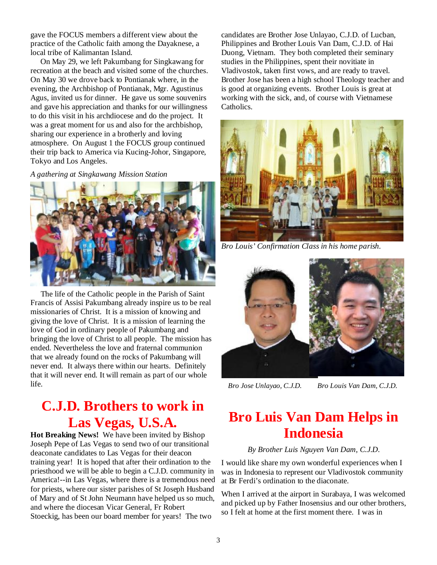gave the FOCUS members a different view about the practice of the Catholic faith among the Dayaknese, a local tribe of Kalimantan Island.

 On May 29, we left Pakumbang for Singkawang for recreation at the beach and visited some of the churches. On May 30 we drove back to Pontianak where, in the evening, the Archbishop of Pontianak, Mgr. Agustinus Agus, invited us for dinner. He gave us some souvenirs and gave his appreciation and thanks for our willingness to do this visit in his archdiocese and do the project. It was a great moment for us and also for the archbishop, sharing our experience in a brotherly and loving atmosphere. On August 1 the FOCUS group continued their trip back to America via Kucing-Johor, Singapore, Tokyo and Los Angeles.

*A gathering at Singkawang Mission Station* 



 The life of the Catholic people in the Parish of Saint Francis of Assisi Pakumbang already inspire us to be real missionaries of Christ. It is a mission of knowing and giving the love of Christ. It is a mission of learning the love of God in ordinary people of Pakumbang and bringing the love of Christ to all people. The mission has ended. Nevertheless the love and fraternal communion that we already found on the rocks of Pakumbang will never end. It always there within our hearts. Definitely that it will never end. It will remain as part of our whole life.

## **C.J.D. Brothers to work in Las Vegas, U.S.A.**

**Hot Breaking News!** We have been invited by Bishop Joseph Pepe of Las Vegas to send two of our transitional deaconate candidates to Las Vegas for their deacon training year! It is hoped that after their ordination to the priesthood we will be able to begin a C.J.D. community in America!--in Las Vegas, where there is a tremendous need for priests, where our sister parishes of St Joseph Husband of Mary and of St John Neumann have helped us so much, and where the diocesan Vicar General, Fr Robert Stoeckig, has been our board member for years! The two

candidates are Brother Jose Unlayao, C.J.D. of Lucban, Philippines and Brother Louis Van Dam, C.J.D. of Hai Duong, Vietnam. They both completed their seminary studies in the Philippines, spent their novitiate in Vladivostok, taken first vows, and are ready to travel. Brother Jose has been a high school Theology teacher and is good at organizing events. Brother Louis is great at working with the sick, and, of course with Vietnamese Catholics.



*Bro Louis' Confirmation Class in his home parish.* 



 *Bro Jose Unlayao, C.J.D. Bro Louis Van Dam, C.J.D.*

# **Bro Luis Van Dam Helps in Indonesia**

#### *By Brother Luis Nguyen Van Dam, C.J.D.*

I would like share my own wonderful experiences when I was in Indonesia to represent our Vladivostok community at Br Ferdi's ordination to the diaconate.

When I arrived at the airport in Surabaya, I was welcomed and picked up by Father Inosensius and our other brothers, so I felt at home at the first moment there. I was in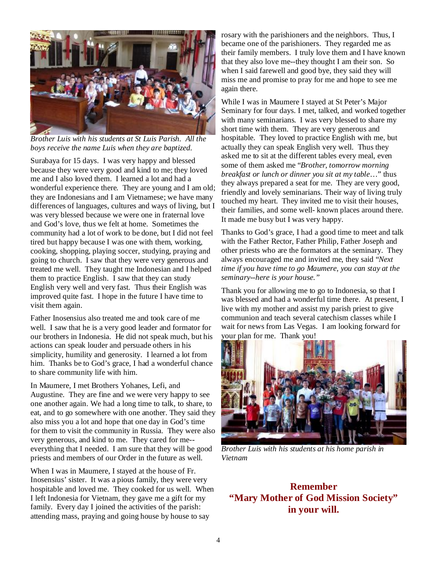

*Brother Luis with his students at St Luis Parish. All the boys receive the name Luis when they are baptized.* 

Surabaya for 15 days. I was very happy and blessed because they were very good and kind to me; they loved me and I also loved them. I learned a lot and had a wonderful experience there. They are young and I am old; they are Indonesians and I am Vietnamese; we have many differences of languages, cultures and ways of living, but I was very blessed because we were one in fraternal love and God's love, thus we felt at home. Sometimes the community had a lot of work to be done, but I did not feel tired but happy because I was one with them, working, cooking, shopping, playing soccer, studying, praying and going to church. I saw that they were very generous and treated me well. They taught me Indonesian and I helped them to practice English. I saw that they can study English very well and very fast. Thus their English was improved quite fast. I hope in the future I have time to visit them again.

Father Inosensius also treated me and took care of me well. I saw that he is a very good leader and formator for our brothers in Indonesia. He did not speak much, but his actions can speak louder and persuade others in his simplicity, humility and generosity. I learned a lot from him. Thanks be to God's grace, I had a wonderful chance to share community life with him.

In Maumere, I met Brothers Yohanes, Lefi, and Augustine. They are fine and we were very happy to see one another again. We had a long time to talk, to share, to eat, and to go somewhere with one another. They said they also miss you a lot and hope that one day in God's time for them to visit the community in Russia. They were also very generous, and kind to me. They cared for me- everything that I needed. I am sure that they will be good priests and members of our Order in the future as well.

When I was in Maumere, I stayed at the house of Fr. Inosensius' sister. It was a pious family, they were very hospitable and loved me. They cooked for us well. When I left Indonesia for Vietnam, they gave me a gift for my family. Every day I joined the activities of the parish: attending mass, praying and going house by house to say

rosary with the parishioners and the neighbors. Thus, I became one of the parishioners. They regarded me as their family members. I truly love them and I have known that they also love me--they thought I am their son. So when I said farewell and good bye, they said they will miss me and promise to pray for me and hope to see me again there.

While I was in Maumere I stayed at St Peter's Major Seminary for four days. I met, talked, and worked together with many seminarians. I was very blessed to share my short time with them. They are very generous and hospitable. They loved to practice English with me, but actually they can speak English very well. Thus they asked me to sit at the different tables every meal, even some of them asked me "*Brother, tomorrow morning breakfast or lunch or dinner you sit at my table*…" thus they always prepared a seat for me. They are very good, friendly and lovely seminarians. Their way of living truly touched my heart. They invited me to visit their houses, their families, and some well- known places around there. It made me busy but I was very happy.

Thanks to God's grace, I had a good time to meet and talk with the Father Rector, Father Philip, Father Joseph and other priests who are the formators at the seminary. They always encouraged me and invited me, they said "*Next time if you have time to go Maumere, you can stay at the seminary--here is your house."* 

Thank you for allowing me to go to Indonesia, so that I was blessed and had a wonderful time there. At present, I live with my mother and assist my parish priest to give communion and teach several catechism classes while I wait for news from Las Vegas. I am looking forward for your plan for me. Thank you!



*Brother Luis with his students at his home parish in Vietnam* 

### **Remember "Mary Mother of God Mission Society" in your will.**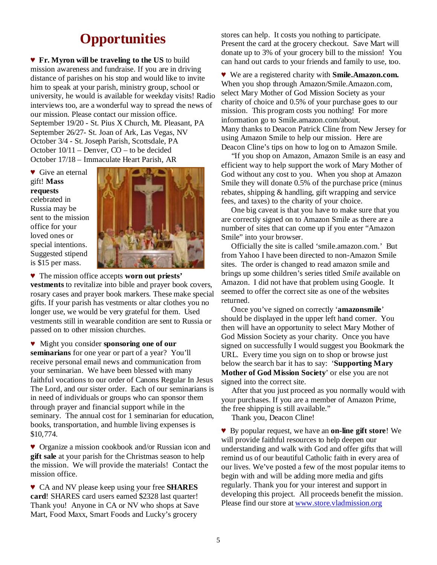## **Opportunities**

♥ **Fr. Myron will be traveling to the US** to build mission awareness and fundraise. If you are in driving distance of parishes on his stop and would like to invite him to speak at your parish, ministry group, school or university, he would is available for weekday visits! Radio interviews too, are a wonderful way to spread the news of our mission. Please contact our mission office. September 19/20 - St. Pius X Church, Mt. Pleasant, PA September 26/27- St. Joan of Ark, Las Vegas, NV October 3/4 - St. Joseph Parish, Scottsdale, PA October 10/11 – Denver, CO – to be decided October 17/18 – Immaculate Heart Parish, AR

**▼** Give an eternal gift! **Mass requests**  celebrated in Russia may be sent to the mission office for your loved ones or special intentions. Suggested stipend is \$15 per mass.



♥ The mission office accepts **worn out priests' vestments** to revitalize into bible and prayer book covers, rosary cases and prayer book markers. These make special gifts. If your parish has vestments or altar clothes you no longer use, we would be very grateful for them. Used vestments still in wearable condition are sent to Russia or passed on to other mission churches.

♥ Might you consider **sponsoring one of our seminarians** for one year or part of a year? You'll receive personal email news and communication from your seminarian. We have been blessed with many faithful vocations to our order of Canons Regular In Jesus The Lord, and our sister order. Each of our seminarians is in need of individuals or groups who can sponsor them through prayer and financial support while in the seminary. The annual cost for 1 seminarian for education, books, transportation, and humble living expenses is \$10,774.

♥ Organize a mission cookbook and/or Russian icon and **gift sale** at your parish for the Christmas season to help the mission. We will provide the materials! Contact the mission office.

♥ CA and NV please keep using your free **SHARES card**! SHARES card users earned \$2328 last quarter! Thank you! Anyone in CA or NV who shops at Save Mart, Food Maxx, Smart Foods and Lucky's grocery

stores can help. It costs you nothing to participate. Present the card at the grocery checkout. Save Mart will donate up to 3% of your grocery bill to the mission! You can hand out cards to your friends and family to use, too.

♥ We are a registered charity with **Smile.Amazon.com.**  When you shop through Amazon/Smile.Amazon.com, select Mary Mother of God Mission Society as your charity of choice and 0.5% of your purchase goes to our mission. This program costs you nothing! For more information go to Smile.amazon.com/about. Many thanks to Deacon Patrick Cline from New Jersey for using Amazon Smile to help our mission. Here are Deacon Cline's tips on how to log on to Amazon Smile.

 "If you shop on Amazon, Amazon Smile is an easy and efficient way to help support the work of Mary Mother of God without any cost to you. When you shop at Amazon Smile they will donate 0.5% of the purchase price (minus rebates, shipping & handling, gift wrapping and service fees, and taxes) to the charity of your choice.

 One big caveat is that you have to make sure that you are correctly signed on to Amazon Smile as there are a number of sites that can come up if you enter "Amazon Smile" into your browser.

 Officially the site is called 'smile.amazon.com.' But from Yahoo I have been directed to non-Amazon Smile sites. The order is changed to read amazon smile and brings up some children's series titled *Smile* available on Amazon. I did not have that problem using Google. It seemed to offer the correct site as one of the websites returned.

 Once you've signed on correctly '**amazonsmile**' should be displayed in the upper left hand corner. You then will have an opportunity to select Mary Mother of God Mission Society as your charity. Once you have signed on successfully I would suggest you Bookmark the URL. Every time you sign on to shop or browse just below the search bar it has to say: '**Supporting Mary Mother of God Mission Society**' or else you are not signed into the correct site.

 After that you just proceed as you normally would with your purchases. If you are a member of Amazon Prime, the free shipping is still available."

Thank you, Deacon Cline!

♥ By popular request, we have an **on-line gift store**! We will provide faithful resources to help deepen our understanding and walk with God and offer gifts that will remind us of our beautiful Catholic faith in every area of our lives. We've posted a few of the most popular items to begin with and will be adding more media and gifts regularly. Thank you for your interest and support in developing this project. All proceeds benefit the mission. Please find our store at [www.store.vladmission.org](http://www.store.vladmission.org)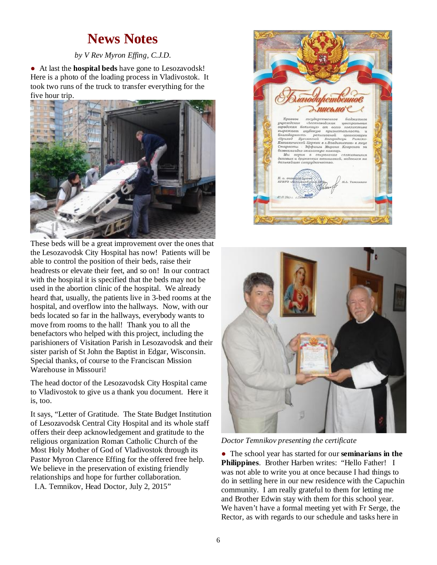## **News Notes**

#### *by V Rev Myron Effing, C.J.D.*

● At last the **hospital beds** have gone to Lesozavodsk! Here is a photo of the loading process in Vladivostok. It took two runs of the truck to transfer everything for the five hour trip.



These beds will be a great improvement over the ones that the Lesozavodsk City Hospital has now! Patients will be able to control the position of their beds, raise their headrests or elevate their feet, and so on! In our contract with the hospital it is specified that the beds may not be used in the abortion clinic of the hospital. We already heard that, usually, the patients live in 3-bed rooms at the hospital, and overflow into the hallways. Now, with our beds located so far in the hallways, everybody wants to move from rooms to the hall! Thank you to all the benefactors who helped with this project, including the parishioners of Visitation Parish in Lesozavodsk and their sister parish of St John the Baptist in Edgar, Wisconsin. Special thanks, of course to the Franciscan Mission Warehouse in Missouri!

The head doctor of the Lesozavodsk City Hospital came to Vladivostok to give us a thank you document. Here it is, too.

It says, "Letter of Gratitude. The State Budget Institution of Lesozavodsk Central City Hospital and its whole staff offers their deep acknowledgement and gratitude to the religious organization Roman Catholic Church of the Most Holy Mother of God of Vladivostok through its Pastor Myron Clarence Effing for the offered free help. We believe in the preservation of existing friendly relationships and hope for further collaboration.

I.A. Temnikov, Head Doctor, July 2, 2015"





*Doctor Temnikov presenting the certificate* 

● The school year has started for our **seminarians in the Philippines**. Brother Harben writes: "Hello Father! I was not able to write you at once because I had things to do in settling here in our new residence with the Capuchin community. I am really grateful to them for letting me and Brother Edwin stay with them for this school year. We haven't have a formal meeting yet with Fr Serge, the Rector, as with regards to our schedule and tasks here in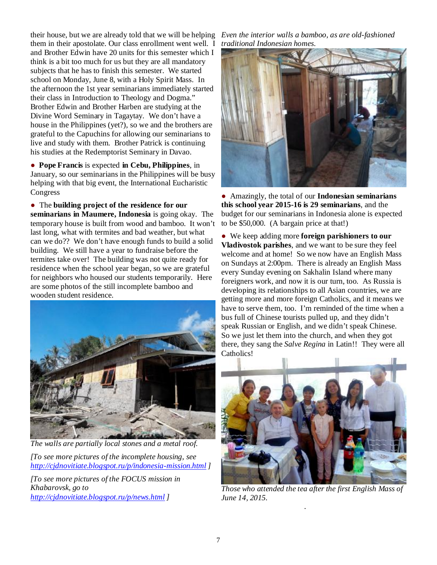their house, but we are already told that we will be helping them in their apostolate. Our class enrollment went well. I and Brother Edwin have 20 units for this semester which I think is a bit too much for us but they are all mandatory subjects that he has to finish this semester. We started school on Monday, June 8, with a Holy Spirit Mass. In the afternoon the 1st year seminarians immediately started their class in Introduction to Theology and Dogma." Brother Edwin and Brother Harben are studying at the Divine Word Seminary in Tagaytay. We don't have a house in the Philippines (yet?), so we and the brothers are grateful to the Capuchins for allowing our seminarians to live and study with them. Brother Patrick is continuing his studies at the Redemptorist Seminary in Davao.

● **Pope Francis** is expected **in Cebu, Philippines**, in January, so our seminarians in the Philippines will be busy helping with that big event, the International Eucharistic Congress

● The **building project of the residence for our seminarians in Maumere, Indonesia** is going okay. The temporary house is built from wood and bamboo. It won't last long, what with termites and bad weather, but what can we do?? We don't have enough funds to build a solid building. We still have a year to fundraise before the termites take over! The building was not quite ready for residence when the school year began, so we are grateful for neighbors who housed our students temporarily. Here are some photos of the still incomplete bamboo and wooden student residence.



*The walls are partially local stones and a metal roof.* 

*[To see more pictures of the incomplete housing, see <http://cjdnovitiate.blogspot.ru/p/indonesia-mission.html> ]* 

*[To see more pictures of the FOCUS mission in Khabarovsk, go to <http://cjdnovitiate.blogspot.ru/p/news.html> ]* 

*Even the interior walls a bamboo, as are old-fashioned traditional Indonesian homes.* 



● Amazingly, the total of our **Indonesian seminarians this school year 2015-16 is 29 seminarians**, and the budget for our seminarians in Indonesia alone is expected to be \$50,000. (A bargain price at that!)

● We keep adding more **foreign parishioners to our Vladivostok parishes**, and we want to be sure they feel welcome and at home! So we now have an English Mass on Sundays at 2:00pm. There is already an English Mass every Sunday evening on Sakhalin Island where many foreigners work, and now it is our turn, too. As Russia is developing its relationships to all Asian countries, we are getting more and more foreign Catholics, and it means we have to serve them, too. I'm reminded of the time when a bus full of Chinese tourists pulled up, and they didn't speak Russian or English, and we didn't speak Chinese. So we just let them into the church, and when they got there, they sang the *Salve Regina* in Latin!! They were all Catholics!



*Those who attended the tea after the first English Mass of June 14, 2015.* 

.